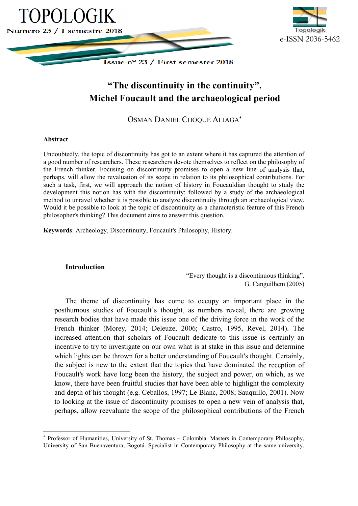



# **"The The discontinuity in the continuity" continuity". Michel Foucault and the archaeological period and the Michel Foucault and the archaeological period**

OSMAN DANIEL CHOQUE ALIAGA<sup>\*</sup>

## **Abstract**

 $\overline{a}$ 

Undoubtedly, the topic of discontinuity has got to an extent where it has captured the attention of a good number of researchers. These researchers devote themselves to reflect on the philosophy of the French thinker. Focusing on discontinuity promises to open a new line of analysis that, perhaps, will allow the revaluation of its scope in relation to its philosophical contributions. For such a task, first, we will approach the notion of history in Foucauldian thought to study the such a task, first, we will approach the notion of history in Foucauldian thought to study the development this notion has with the discontinuity; followed by a study of the archaeological method to unravel whether it is possible to analyze discontinuity through an archaeological view. method to unravel whether it is possible to analyze discontinuity through an archaeological view.<br>Would it be possible to look at the topic of discontinuity as a characteristic feature of this French philosopher's thinking? This document aims to answer this question.

Keywords: Archeology, Discontinuity, Foucault's Philosophy, History.

## **Introduction**

"Every thought is a discontinuous thinking". G. Canguilhem (2005)

The theme of discontinuity has come to occupy an important place in the posthumous studies of Foucault's thought, as numbers reveal, there are growing research bodies that have made this issue one of the driving force in the work of the French thinker (Morey, 2014; Deleuze, 2006; Castro, 1995, Revel, 201 increased attention that scholars of Foucault dedicate to this issue is certainly an incentive to try to investigate on our own what is at stake in this issue and determine incentive to try to investigate on our own what is at stake in this issue and determine which lights can be thrown for a better understanding of Foucault's thought. Certainly, the subject is new to the extent that the topics that have dominated the reception of Foucault's work have long been the history, the subject and power, on which, as we Foucault's work have long been the history, the subject and power, on which, as we<br>know, there have been fruitful studies that have been able to highlight the complexity and depth of his thought ( (e.g. Ceballos, 1997; Le Blanc, 2008; Sauquillo, 2001). Now to looking at the issue of discontinuity promises to open a new vein of analysis that, perhaps, allow reevaluate the scope of the philosophical contributions of the French  $\frac{1}{2}$ 's thought, as numbers reveal, there are growing<br>his issue one of the driving force in the work of the<br>Deleuze, 2006; Castro, 1995, Revel, 2014). The

<sup>\*</sup> Professor of Humanities, University of St. Thomas - Colombia. Masters in Contemporary Philosophy, University of San Buenaventura, Bogotá. Specialist in Contemporary Philosophy at the same university.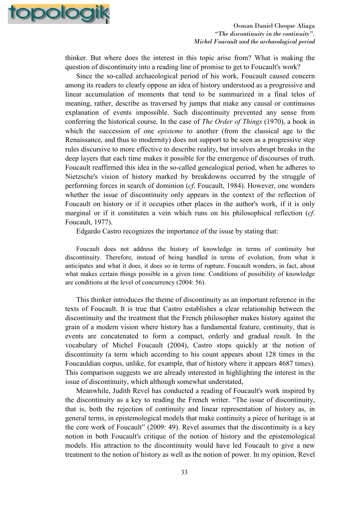

thinker. But where does the interest in this topic arise from? What is making the question of discontinuity into a reading line of promise to get to Foucault's work?

Since the so-called archaeological period of his work, Foucault caused concern among its readers to clearly oppose an idea of history understood as a progressive and linear accumulation of moments that tend to be summarized in a final telos of meaning, rather, describe as traversed by jumps that make any causal or continuous explanation of events impossible. Such discontinuity prevented any sense from conferring the historical course. In the case of *The Order of Things* (1970), a book in which the succession of one *episteme* to another (from the classical age to the Renaissance, and thus to modernity) does not support to be seen as a progressive step rules discursive to more effective to describe reality, but involves abrupt breaks in the deep layers that each time makes it possible for the emergence of discourses of truth. Foucault reaffirmed this idea in the so-called genealogical period, when he adheres to Nietzsche's vision of history marked by breakdowns occurred by the struggle of performing forces in search of dominion (*cf*. Foucault, 1984). However, one wonders whether the issue of discontinuity only appears in the context of the reflection of Foucault on history or if it occupies other places in the author's work, if it is only marginal or if it constitutes a vein which runs on his philosophical reflection (*cf*. Foucault, 1977).

Edgardo Castro recognizes the importance of the issue by stating that:

Foucault does not address the history of knowledge in terms of continuity but discontinuity. Therefore, instead of being handled in terms of evolution, from what it anticipates and what it does, it does so in terms of rupture. Foucault wonders, in fact, about what makes certain things possible in a given time. Conditions of possibility of knowledge are conditions at the level of concurrency (2004: 56).

This thinker introduces the theme of discontinuity as an important reference in the texts of Foucault. It is true that Castro establishes a clear relationship between the discontinuity and the treatment that the French philosopher makes history against the grain of a modern vision where history has a fundamental feature, continuity, that is events are concatenated to form a compact, orderly and gradual result. In the vocabulary of Michel Foucault (2004), Castro stops quickly at the notion of discontinuity (a term which according to his count appears about 128 times in the Foucauldian corpus, unlike, for example, that of history where it appears 4687 times). This comparison suggests we are already interested in highlighting the interest in the issue of discontinuity, which although somewhat understated,

Meanwhile, Judith Revel has conducted a reading of Foucault's work inspired by the discontinuity as a key to reading the French writer. "The issue of discontinuity, that is, both the rejection of continuity and linear representation of history as, in general terms, in epistemological models that make continuity a piece of heritage is at the core work of Foucault" (2009: 49). Revel assumes that the discontinuity is a key notion in both Foucault's critique of the notion of history and the epistemological models. His attraction to the discontinuity would have led Foucault to give a new treatment to the notion of history as well as the notion of power. In my opinion, Revel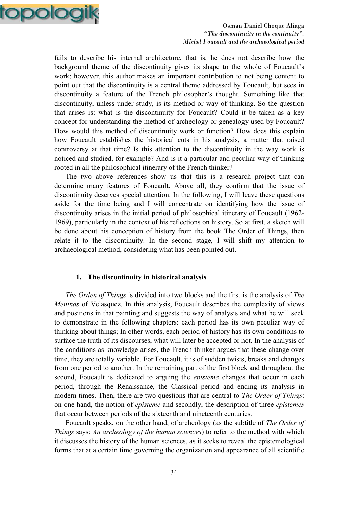

fails to describe his internal architecture, that is, he does not describe how the background theme of the discontinuity gives its shape to the whole of Foucault's work; however, this author makes an important contribution to not being content to point out that the discontinuity is a central theme addressed by Foucault, but sees in discontinuity a feature of the French philosopher's thought. Something like that discontinuity, unless under study, is its method or way of thinking. So the question that arises is: what is the discontinuity for Foucault? Could it be taken as a key concept for understanding the method of archeology or genealogy used by Foucault? How would this method of discontinuity work or function? How does this explain how Foucault establishes the historical cuts in his analysis, a matter that raised controversy at that time? Is this attention to the discontinuity in the way work is noticed and studied, for example? And is it a particular and peculiar way of thinking rooted in all the philosophical itinerary of the French thinker?

The two above references show us that this is a research project that can determine many features of Foucault. Above all, they confirm that the issue of discontinuity deserves special attention. In the following, I will leave these questions aside for the time being and I will concentrate on identifying how the issue of discontinuity arises in the initial period of philosophical itinerary of Foucault (1962- 1969), particularly in the context of his reflections on history. So at first, a sketch will be done about his conception of history from the book The Order of Things, then relate it to the discontinuity. In the second stage, I will shift my attention to archaeological method, considering what has been pointed out.

#### **1. The discontinuity in historical analysis**

*The Orden of Things* is divided into two blocks and the first is the analysis of *The Meninas* of Velasquez. In this analysis, Foucault describes the complexity of views and positions in that painting and suggests the way of analysis and what he will seek to demonstrate in the following chapters: each period has its own peculiar way of thinking about things; In other words, each period of history has its own conditions to surface the truth of its discourses, what will later be accepted or not. In the analysis of the conditions as knowledge arises, the French thinker argues that these change over time, they are totally variable. For Foucault, it is of sudden twists, breaks and changes from one period to another. In the remaining part of the first block and throughout the second, Foucault is dedicated to arguing the *episteme* changes that occur in each period, through the Renaissance, the Classical period and ending its analysis in modern times. Then, there are two questions that are central to *The Order of Things*: on one hand, the notion of *episteme* and secondly, the description of three *epistemes* that occur between periods of the sixteenth and nineteenth centuries.

Foucault speaks, on the other hand, of archeology (as the subtitle of *The Order of Things* says: *An archeology of the human sciences*) to refer to the method with which it discusses the history of the human sciences, as it seeks to reveal the epistemological forms that at a certain time governing the organization and appearance of all scientific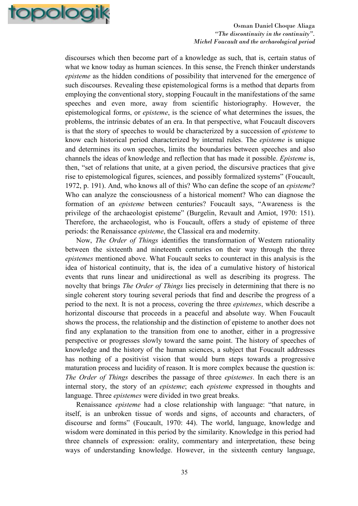

discourses which then become part of a knowledge as such, that is, certain status of what we know today as human sciences. In this sense, the French thinker understands *episteme* as the hidden conditions of possibility that intervened for the emergence of such discourses. Revealing these epistemological forms is a method that departs from employing the conventional story, stopping Foucault in the manifestations of the same speeches and even more, away from scientific historiography. However, the epistemological forms, or *episteme*, is the science of what determines the issues, the problems, the intrinsic debates of an era. In that perspective, what Foucault discovers is that the story of speeches to would be characterized by a succession of *episteme* to know each historical period characterized by internal rules. The *episteme* is unique and determines its own speeches, limits the boundaries between speeches and also channels the ideas of knowledge and reflection that has made it possible. *Episteme* is, then, "set of relations that unite, at a given period, the discursive practices that give rise to epistemological figures, sciences, and possibly formalized systems" (Foucault, 1972, p. 191). And, who knows all of this? Who can define the scope of an *episteme*? Who can analyze the consciousness of a historical moment? Who can diagnose the formation of an *episteme* between centuries? Foucault says, "Awareness is the privilege of the archaeologist episteme" (Burgelin, Revault and Amiot, 1970: 151). Therefore, the archaeologist, who is Foucault, offers a study of episteme of three periods: the Renaissance *episteme*, the Classical era and modernity.

Now, *The Order of Things* identifies the transformation of Western rationality between the sixteenth and nineteenth centuries on their way through the three *epistemes* mentioned above. What Foucault seeks to counteract in this analysis is the idea of historical continuity, that is, the idea of a cumulative history of historical events that runs linear and unidirectional as well as describing its progress. The novelty that brings *The Order of Things* lies precisely in determining that there is no single coherent story touring several periods that find and describe the progress of a period to the next. It is not a process, covering the three *epistemes*, which describe a horizontal discourse that proceeds in a peaceful and absolute way. When Foucault shows the process, the relationship and the distinction of episteme to another does not find any explanation to the transition from one to another, either in a progressive perspective or progresses slowly toward the same point. The history of speeches of knowledge and the history of the human sciences, a subject that Foucault addresses has nothing of a positivist vision that would burn steps towards a progressive maturation process and lucidity of reason. It is more complex because the question is: *The Order of Things* describes the passage of three *epistemes*. In each there is an internal story, the story of an *episteme*; each *episteme* expressed in thoughts and language. Three *epistemes* were divided in two great breaks.

Renaissance *episteme* had a close relationship with language: "that nature, in itself, is an unbroken tissue of words and signs, of accounts and characters, of discourse and forms" (Foucault, 1970: 44). The world, language, knowledge and wisdom were dominated in this period by the similarity. Knowledge in this period had three channels of expression: orality, commentary and interpretation, these being ways of understanding knowledge. However, in the sixteenth century language,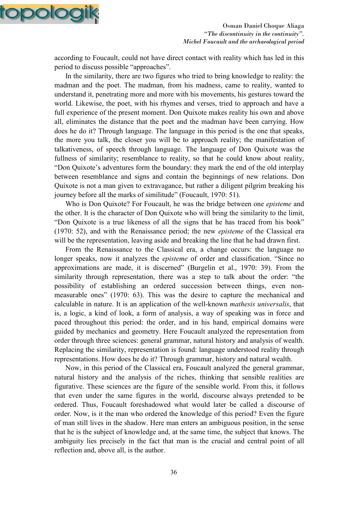

according to Foucault, could not have direct contact with reality which has led in this period to discuss possible "approaches".

In the similarity, there are two figures who tried to bring knowledge to reality: the madman and the poet. The madman, from his madness, came to reality, wanted to understand it, penetrating more and more with his movements, his gestures toward the world. Likewise, the poet, with his rhymes and verses, tried to approach and have a full experience of the present moment. Don Quixote makes reality his own and above all, eliminates the distance that the poet and the madman have been carrying. How does he do it? Through language. The language in this period is the one that speaks, the more you talk, the closer you will be to approach reality; the manifestation of talkativeness, of speech through language. The language of Don Quixote was the fullness of similarity; resemblance to reality, so that he could know about reality, "Don Quixote's adventures form the boundary: they mark the end of the old interplay between resemblance and signs and contain the beginnings of new relations. Don Quixote is not a man given to extravagance, but rather a diligent pilgrim breaking his journey before all the marks of similitude" (Foucault, 1970: 51).

Who is Don Quixote? For Foucault, he was the bridge between one *episteme* and the other. It is the character of Don Quixote who will bring the similarity to the limit, "Don Quixote is a true likeness of all the signs that he has traced from his book" (1970: 52), and with the Renaissance period; the new *episteme* of the Classical era will be the representation, leaving aside and breaking the line that he had drawn first.

From the Renaissance to the Classical era, a change occurs: the language no longer speaks, now it analyzes the *episteme* of order and classification. "Since no approximations are made, it is discerned" (Burgelin et al., 1970: 39). From the similarity through representation, there was a step to talk about the order: "the possibility of establishing an ordered succession between things, even nonmeasurable ones" (1970: 63). This was the desire to capture the mechanical and calculable in nature. It is an application of the well-known *mathesis universalis*, that is, a logic, a kind of look, a form of analysis, a way of speaking was in force and paced throughout this period: the order, and in his hand, empirical domains were guided by mechanics and geometry. Here Foucault analyzed the representation from order through three sciences: general grammar, natural history and analysis of wealth. Replacing the similarity, representation is found: language understood reality through representations. How does he do it? Through grammar, history and natural wealth.

Now, in this period of the Classical era, Foucault analyzed the general grammar, natural history and the analysis of the riches, thinking that sensible realities are figurative. These sciences are the figure of the sensible world. From this, it follows that even under the same figures in the world, discourse always pretended to be ordered. Thus, Foucault foreshadowed what would later be called a discourse of order. Now, is it the man who ordered the knowledge of this period? Even the figure of man still lives in the shadow. Here man enters an ambiguous position, in the sense that he is the subject of knowledge and, at the same time, the subject that knows. The ambiguity lies precisely in the fact that man is the crucial and central point of all reflection and, above all, is the author.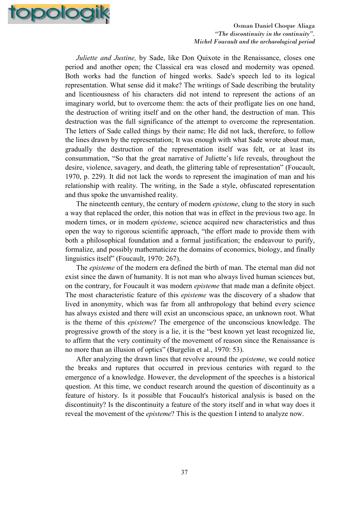

*Juliette and Justine*, by Sade, like Don Quixote in the Renaissance, closes one period and another open; the Classical era was closed and modernity was opened. Both works had the function of hinged works. Sade's speech led to its logical representation. What sense did it make? The writings of Sade describing the brutality and licentiousness of his characters did not intend to represent the actions of an imaginary world, but to overcome them: the acts of their profligate lies on one hand, the destruction of writing itself and on the other hand, the destruction of man. This destruction was the full significance of the attempt to overcome the representation. The letters of Sade called things by their name; He did not lack, therefore, to follow the lines drawn by the representation; It was enough with what Sade wrote about man, gradually the destruction of the representation itself was felt, or at least its consummation, "So that the great narrative of Juliette's life reveals, throughout the desire, violence, savagery, and death, the glittering table of representation" (Foucault, 1970, p. 229). It did not lack the words to represent the imagination of man and his relationship with reality. The writing, in the Sade a style, obfuscated representation and thus spoke the unvarnished reality.

The nineteenth century, the century of modern *episteme*, clung to the story in such a way that replaced the order, this notion that was in effect in the previous two age. In modern times, or in modern *episteme*, science acquired new characteristics and thus open the way to rigorous scientific approach, "the effort made to provide them with both a philosophical foundation and a formal justification; the endeavour to purify, formalize, and possibly mathematicize the domains of economics, biology, and finally linguistics itself" (Foucault, 1970: 267).

The *episteme* of the modern era defined the birth of man. The eternal man did not exist since the dawn of humanity. It is not man who always lived human sciences but, on the contrary, for Foucault it was modern *episteme* that made man a definite object. The most characteristic feature of this *episteme* was the discovery of a shadow that lived in anonymity, which was far from all anthropology that behind every science has always existed and there will exist an unconscious space, an unknown root. What is the theme of this *episteme*? The emergence of the unconscious knowledge. The progressive growth of the story is a lie, it is the "best known yet least recognized lie, to affirm that the very continuity of the movement of reason since the Renaissance is no more than an illusion of optics" (Burgelin et al., 1970: 53).

After analyzing the drawn lines that revolve around the *episteme*, we could notice the breaks and ruptures that occurred in previous centuries with regard to the emergence of a knowledge. However, the development of the speeches is a historical question. At this time, we conduct research around the question of discontinuity as a feature of history. Is it possible that Foucault's historical analysis is based on the discontinuity? Is the discontinuity a feature of the story itself and in what way does it reveal the movement of the *episteme*? This is the question I intend to analyze now.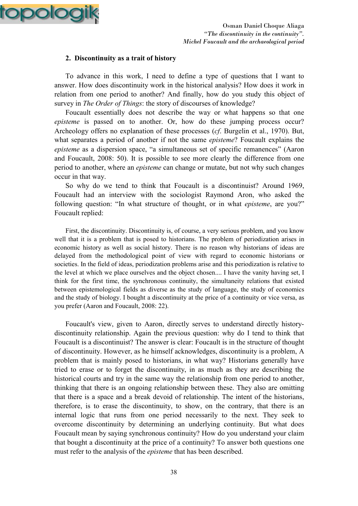

## **2. Discontinuity as a trait of history**

To advance in this work, I need to define a type of questions that I want to answer. How does discontinuity work in the historical analysis? How does it work in relation from one period to another? And finally, how do you study this object of survey in *The Order of Things*: the story of discourses of knowledge?

Foucault essentially does not describe the way or what happens so that one *episteme* is passed on to another. Or, how do these jumping process occur? Archeology offers no explanation of these processes (*cf*. Burgelin et al., 1970). But, what separates a period of another if not the same *episteme*? Foucault explains the *episteme* as a dispersion space, "a simultaneous set of specific remanences" (Aaron and Foucault, 2008: 50). It is possible to see more clearly the difference from one period to another, where an *episteme* can change or mutate, but not why such changes occur in that way.

So why do we tend to think that Foucault is a discontinuist? Around 1969, Foucault had an interview with the sociologist Raymond Aron, who asked the following question: "In what structure of thought, or in what *episteme*, are you?" Foucault replied:

First, the discontinuity. Discontinuity is, of course, a very serious problem, and you know well that it is a problem that is posed to historians. The problem of periodization arises in economic history as well as social history. There is no reason why historians of ideas are delayed from the methodological point of view with regard to economic historians or societies. In the field of ideas, periodization problems arise and this periodization is relative to the level at which we place ourselves and the object chosen.... I have the vanity having set, I think for the first time, the synchronous continuity, the simultaneity relations that existed between epistemological fields as diverse as the study of language, the study of economics and the study of biology. I bought a discontinuity at the price of a continuity or vice versa, as you prefer (Aaron and Foucault, 2008: 22).

Foucault's view, given to Aaron, directly serves to understand directly historydiscontinuity relationship. Again the previous question: why do I tend to think that Foucault is a discontinuist? The answer is clear: Foucault is in the structure of thought of discontinuity. However, as he himself acknowledges, discontinuity is a problem, A problem that is mainly posed to historians, in what way? Historians generally have tried to erase or to forget the discontinuity, in as much as they are describing the historical courts and try in the same way the relationship from one period to another, thinking that there is an ongoing relationship between these. They also are omitting that there is a space and a break devoid of relationship. The intent of the historians, therefore, is to erase the discontinuity, to show, on the contrary, that there is an internal logic that runs from one period necessarily to the next. They seek to overcome discontinuity by determining an underlying continuity. But what does Foucault mean by saying synchronous continuity? How do you understand your claim that bought a discontinuity at the price of a continuity? To answer both questions one must refer to the analysis of the *episteme* that has been described.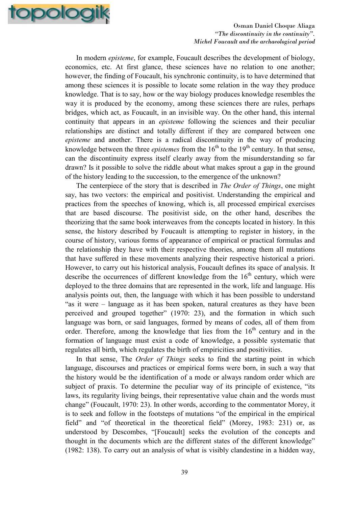

In modern *episteme*, for example, Foucault describes the development of biology, economics, etc. At first glance, these sciences have no relation to one another; however, the finding of Foucault, his synchronic continuity, is to have determined that among these sciences it is possible to locate some relation in the way they produce knowledge. That is to say, how or the way biology produces knowledge resembles the way it is produced by the economy, among these sciences there are rules, perhaps bridges, which act, as Foucault, in an invisible way. On the other hand, this internal continuity that appears in an *episteme* following the sciences and their peculiar relationships are distinct and totally different if they are compared between one *episteme* and another. There is a radical discontinuity in the way of producing knowledge between the three *epistemes* from the  $16<sup>th</sup>$  to the  $19<sup>th</sup>$  century. In that sense, can the discontinuity express itself clearly away from the misunderstanding so far drawn? Is it possible to solve the riddle about what makes sprout a gap in the ground of the history leading to the succession, to the emergence of the unknown?

The centerpiece of the story that is described in *The Order of Things*, one might say, has two vectors: the empirical and positivist. Understanding the empirical and practices from the speeches of knowing, which is, all processed empirical exercises that are based discourse. The positivist side, on the other hand, describes the theorizing that the same book interweaves from the concepts located in history. In this sense, the history described by Foucault is attempting to register in history, in the course of history, various forms of appearance of empirical or practical formulas and the relationship they have with their respective theories, among them all mutations that have suffered in these movements analyzing their respective historical a priori. However, to carry out his historical analysis, Foucault defines its space of analysis. It describe the occurrences of different knowledge from the  $16<sup>th</sup>$  century, which were deployed to the three domains that are represented in the work, life and language. His analysis points out, then, the language with which it has been possible to understand "as it were – language as it has been spoken, natural creatures as they have been perceived and grouped together" (1970: 23), and the formation in which such language was born, or said languages, formed by means of codes, all of them from order. Therefore, among the knowledge that lies from the  $16<sup>th</sup>$  century and in the formation of language must exist a code of knowledge, a possible systematic that regulates all birth, which regulates the birth of empiricities and positivities.

In that sense, The *Order of Things* seeks to find the starting point in which language, discourses and practices or empirical forms were born, in such a way that the history would be the identification of a mode or always random order which are subject of praxis. To determine the peculiar way of its principle of existence, "its laws, its regularity living beings, their representative value chain and the words must change" (Foucault, 1970: 23). In other words, according to the commentator Morey, it is to seek and follow in the footsteps of mutations "of the empirical in the empirical field" and "of theoretical in the theoretical field" (Morey, 1983: 231) or, as understood by Descombes, "[Foucault] seeks the evolution of the concepts and thought in the documents which are the different states of the different knowledge" (1982: 138). To carry out an analysis of what is visibly clandestine in a hidden way,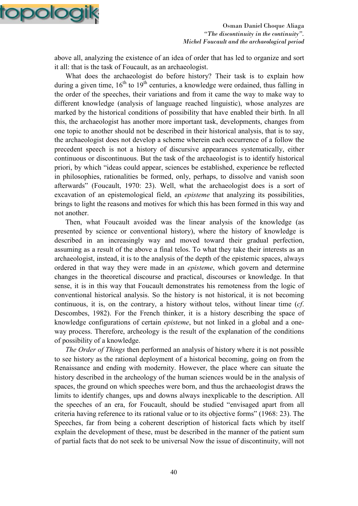

above all, analyzing the existence of an idea of order that has led to organize and sort it all: that is the task of Foucault, as an archaeologist.

What does the archaeologist do before history? Their task is to explain how during a given time,  $16<sup>th</sup>$  to  $19<sup>th</sup>$  centuries, a knowledge were ordained, thus falling in the order of the speeches, their variations and from it came the way to make way to different knowledge (analysis of language reached linguistic), whose analyzes are marked by the historical conditions of possibility that have enabled their birth. In all this, the archaeologist has another more important task, developments, changes from one topic to another should not be described in their historical analysis, that is to say, the archaeologist does not develop a scheme wherein each occurrence of a follow the precedent speech is not a history of discursive appearances systematically, either continuous or discontinuous. But the task of the archaeologist is to identify historical priori, by which "ideas could appear, sciences be established, experience be reflected in philosophies, rationalities be formed, only, perhaps, to dissolve and vanish soon afterwards" (Foucault, 1970: 23). Well, what the archaeologist does is a sort of excavation of an epistemological field, an *episteme* that analyzing its possibilities, brings to light the reasons and motives for which this has been formed in this way and not another.

Then, what Foucault avoided was the linear analysis of the knowledge (as presented by science or conventional history), where the history of knowledge is described in an increasingly way and moved toward their gradual perfection, assuming as a result of the above a final telos. To what they take their interests as an archaeologist, instead, it is to the analysis of the depth of the epistemic spaces, always ordered in that way they were made in an *episteme*, which govern and determine changes in the theoretical discourse and practical, discourses or knowledge. In that sense, it is in this way that Foucault demonstrates his remoteness from the logic of conventional historical analysis. So the history is not historical, it is not becoming continuous, it is, on the contrary, a history without telos, without linear time (*cf*. Descombes, 1982). For the French thinker, it is a history describing the space of knowledge configurations of certain *episteme*, but not linked in a global and a oneway process. Therefore, archeology is the result of the explanation of the conditions of possibility of a knowledge.

*The Order of Things* then performed an analysis of history where it is not possible to see history as the rational deployment of a historical becoming, going on from the Renaissance and ending with modernity. However, the place where can situate the history described in the archeology of the human sciences would be in the analysis of spaces, the ground on which speeches were born, and thus the archaeologist draws the limits to identify changes, ups and downs always inexplicable to the description. All the speeches of an era, for Foucault, should be studied "envisaged apart from all criteria having reference to its rational value or to its objective forms" (1968: 23). The Speeches, far from being a coherent description of historical facts which by itself explain the development of these, must be described in the manner of the patient sum of partial facts that do not seek to be universal Now the issue of discontinuity, will not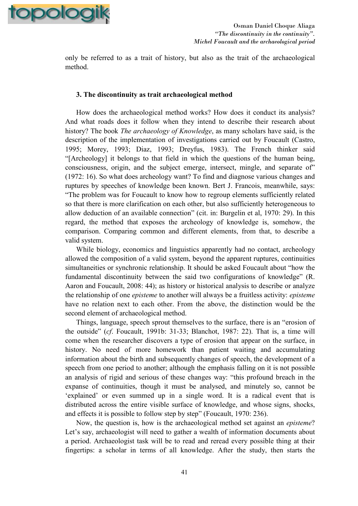

only be referred to as a trait of history, but also as the trait of the archaeological method.

#### **3. The discontinuity as trait archaeological method**

How does the archaeological method works? How does it conduct its analysis? And what roads does it follow when they intend to describe their research about history? The book *The archaeology of Knowledge*, as many scholars have said, is the description of the implementation of investigations carried out by Foucault (Castro, 1995; Morey, 1993; Diaz, 1993; Dreyfus, 1983). The French thinker said "[Archeology] it belongs to that field in which the questions of the human being, consciousness, origin, and the subject emerge, intersect, mingle, and separate of" (1972: 16). So what does archeology want? To find and diagnose various changes and ruptures by speeches of knowledge been known. Bert J. Francois, meanwhile, says: "The problem was for Foucault to know how to regroup elements sufficiently related so that there is more clarification on each other, but also sufficiently heterogeneous to allow deduction of an available connection" (cit. in: Burgelin et al, 1970: 29). In this regard, the method that exposes the archeology of knowledge is, somehow, the comparison. Comparing common and different elements, from that, to describe a valid system.

While biology, economics and linguistics apparently had no contact, archeology allowed the composition of a valid system, beyond the apparent ruptures, continuities simultaneities or synchronic relationship. It should be asked Foucault about "how the fundamental discontinuity between the said two configurations of knowledge" (R. Aaron and Foucault, 2008: 44); as history or historical analysis to describe or analyze the relationship of one *episteme* to another will always be a fruitless activity: *episteme* have no relation next to each other. From the above, the distinction would be the second element of archaeological method.

Things, language, speech sprout themselves to the surface, there is an "erosion of the outside" (*cf*. Foucault, 1991b: 31-33; Blanchot, 1987: 22). That is, a time will come when the researcher discovers a type of erosion that appear on the surface, in history. No need of more homework than patient waiting and accumulating information about the birth and subsequently changes of speech, the development of a speech from one period to another; although the emphasis falling on it is not possible an analysis of rigid and serious of these changes way: "this profound breach in the expanse of continuities, though it must be analysed, and minutely so, cannot be 'explained' or even summed up in a single word. It is a radical event that is distributed across the entire visible surface of knowledge, and whose signs, shocks, and effects it is possible to follow step by step" (Foucault, 1970: 236).

Now, the question is, how is the archaeological method set against an *episteme*? Let's say, archaeologist will need to gather a wealth of information documents about a period. Archaeologist task will be to read and reread every possible thing at their fingertips: a scholar in terms of all knowledge. After the study, then starts the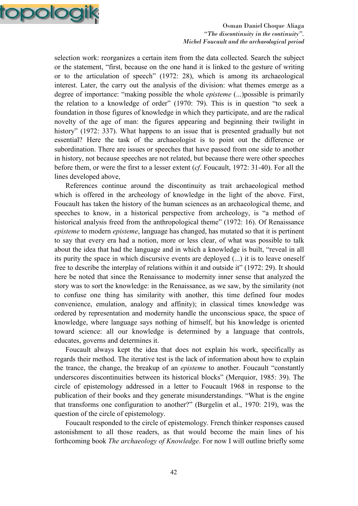

selection work: reorganizes a certain item from the data collected. Search the subject or the statement, "first, because on the one hand it is linked to the gesture of writing or to the articulation of speech" (1972: 28), which is among its archaeological interest. Later, the carry out the analysis of the division: what themes emerge as a degree of importance: "making possible the whole *episteme* (...)possible is primarily the relation to a knowledge of order" (1970: 79). This is in question "to seek a foundation in those figures of knowledge in which they participate, and are the radical novelty of the age of man: the figures appearing and beginning their twilight in history" (1972: 337). What happens to an issue that is presented gradually but not essential? Here the task of the archaeologist is to point out the difference or subordination. There are issues or speeches that have passed from one side to another in history, not because speeches are not related, but because there were other speeches before them, or were the first to a lesser extent (*cf*. Foucault, 1972: 31-40). For all the lines developed above,

References continue around the discontinuity as trait archaeological method which is offered in the archeology of knowledge in the light of the above. First, Foucault has taken the history of the human sciences as an archaeological theme, and speeches to know, in a historical perspective from archeology, is "a method of historical analysis freed from the anthropological theme" (1972: 16). Of Renaissance *episteme* to modern *episteme*, language has changed, has mutated so that it is pertinent to say that every era had a notion, more or less clear, of what was possible to talk about the idea that had the language and in which a knowledge is built, "reveal in all its purity the space in which discursive events are deployed (...) it is to leave oneself free to describe the interplay of relations within it and outside it" (1972: 29). It should here be noted that since the Renaissance to modernity inner sense that analyzed the story was to sort the knowledge: in the Renaissance, as we saw, by the similarity (not to confuse one thing has similarity with another, this time defined four modes convenience, emulation, analogy and affinity); in classical times knowledge was ordered by representation and modernity handle the unconscious space, the space of knowledge, where language says nothing of himself, but his knowledge is oriented toward science: all our knowledge is determined by a language that controls, educates, governs and determines it.

Foucault always kept the idea that does not explain his work, specifically as regards their method. The iterative test is the lack of information about how to explain the trance, the change, the breakup of an *episteme* to another. Foucault "constantly underscores discontinuities between its historical blocks" (Merquior, 1985: 39). The circle of epistemology addressed in a letter to Foucault 1968 in response to the publication of their books and they generate misunderstandings. "What is the engine that transforms one configuration to another?" (Burgelin et al., 1970: 219), was the question of the circle of epistemology.

Foucault responded to the circle of epistemology. French thinker responses caused astonishment to all those readers, as that would become the main lines of his forthcoming book *The archaeology of Knowledge*. For now I will outline briefly some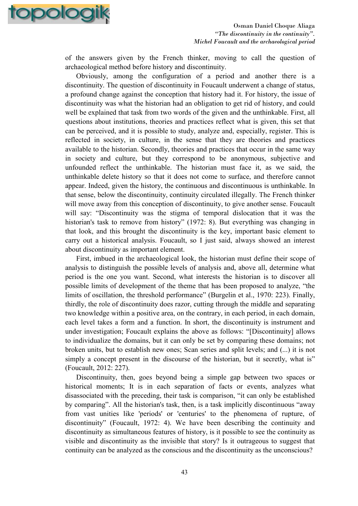

of the answers given by the French thinker, moving to call the question of archaeological method before history and discontinuity.

Obviously, among the configuration of a period and another there is a discontinuity. The question of discontinuity in Foucault underwent a change of status, a profound change against the conception that history had it. For history, the issue of discontinuity was what the historian had an obligation to get rid of history, and could well be explained that task from two words of the given and the unthinkable. First, all questions about institutions, theories and practices reflect what is given, this set that can be perceived, and it is possible to study, analyze and, especially, register. This is reflected in society, in culture, in the sense that they are theories and practices available to the historian. Secondly, theories and practices that occur in the same way in society and culture, but they correspond to be anonymous, subjective and unfounded reflect the unthinkable. The historian must face it, as we said, the unthinkable delete history so that it does not come to surface, and therefore cannot appear. Indeed, given the history, the continuous and discontinuous is unthinkable. In that sense, below the discontinuity, continuity circulated illegally. The French thinker will move away from this conception of discontinuity, to give another sense. Foucault will say: "Discontinuity was the stigma of temporal dislocation that it was the historian's task to remove from history" (1972: 8). But everything was changing in that look, and this brought the discontinuity is the key, important basic element to carry out a historical analysis. Foucault, so I just said, always showed an interest about discontinuity as important element.

First, imbued in the archaeological look, the historian must define their scope of analysis to distinguish the possible levels of analysis and, above all, determine what period is the one you want. Second, what interests the historian is to discover all possible limits of development of the theme that has been proposed to analyze, "the limits of oscillation, the threshold performance" (Burgelin et al., 1970: 223). Finally, thirdly, the role of discontinuity does razor, cutting through the middle and separating two knowledge within a positive area, on the contrary, in each period, in each domain, each level takes a form and a function. In short, the discontinuity is instrument and under investigation; Foucault explains the above as follows: "[Discontinuity] allows to individualize the domains, but it can only be set by comparing these domains; not broken units, but to establish new ones; Scan series and split levels; and (...) it is not simply a concept present in the discourse of the historian, but it secretly, what is" (Foucault, 2012: 227).

Discontinuity, then, goes beyond being a simple gap between two spaces or historical moments; It is in each separation of facts or events, analyzes what disassociated with the preceding, their task is comparison, "it can only be established by comparing". All the historian's task, then, is a task implicitly discontinuous "away from vast unities like 'periods' or 'centuries' to the phenomena of rupture, of discontinuity" (Foucault, 1972: 4). We have been describing the continuity and discontinuity as simultaneous features of history, is it possible to see the continuity as visible and discontinuity as the invisible that story? Is it outrageous to suggest that continuity can be analyzed as the conscious and the discontinuity as the unconscious?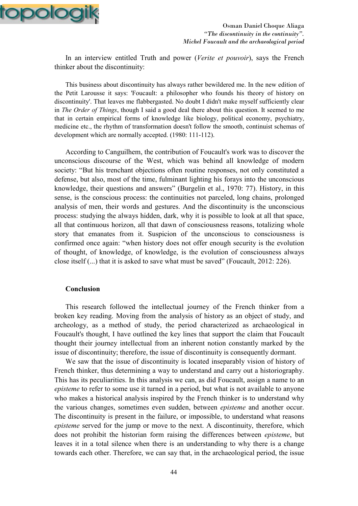

In an interview entitled Truth and power (*Verite et pouvoir*), says the French thinker about the discontinuity:

This business about discontinuity has always rather bewildered me. In the new edition of the Petit Larousse it says: 'Foucault: a philosopher who founds his theory of history on discontinuity'. That leaves me flabbergasted. No doubt I didn't make myself sufficiently clear in *The Order of Things*, though I said a good deal there about this question. It seemed to me that in certain empirical forms of knowledge like biology, political economy, psychiatry, medicine etc., the rhythm of transformation doesn't follow the smooth, continuist schemas of development which are normally accepted. (1980: 111-112).

According to Canguilhem, the contribution of Foucault's work was to discover the unconscious discourse of the West, which was behind all knowledge of modern society: "But his trenchant objections often routine responses, not only constituted a defense, but also, most of the time, fulminant lighting his forays into the unconscious knowledge, their questions and answers" (Burgelin et al., 1970: 77). History, in this sense, is the conscious process: the continuities not parceled, long chains, prolonged analysis of men, their words and gestures. And the discontinuity is the unconscious process: studying the always hidden, dark, why it is possible to look at all that space, all that continuous horizon, all that dawn of consciousness reasons, totalizing whole story that emanates from it. Suspicion of the unconscious to consciousness is confirmed once again: "when history does not offer enough security is the evolution of thought, of knowledge, of knowledge, is the evolution of consciousness always close itself (...) that it is asked to save what must be saved" (Foucault, 2012: 226).

## **Conclusion**

This research followed the intellectual journey of the French thinker from a broken key reading. Moving from the analysis of history as an object of study, and archeology, as a method of study, the period characterized as archaeological in Foucault's thought, I have outlined the key lines that support the claim that Foucault thought their journey intellectual from an inherent notion constantly marked by the issue of discontinuity; therefore, the issue of discontinuity is consequently dormant.

We saw that the issue of discontinuity is located inseparably vision of history of French thinker, thus determining a way to understand and carry out a historiography. This has its peculiarities. In this analysis we can, as did Foucault, assign a name to an *episteme* to refer to some use it turned in a period, but what is not available to anyone who makes a historical analysis inspired by the French thinker is to understand why the various changes, sometimes even sudden, between *episteme* and another occur. The discontinuity is present in the failure, or impossible, to understand what reasons *episteme* served for the jump or move to the next. A discontinuity, therefore, which does not prohibit the historian form raising the differences between *episteme*, but leaves it in a total silence when there is an understanding to why there is a change towards each other. Therefore, we can say that, in the archaeological period, the issue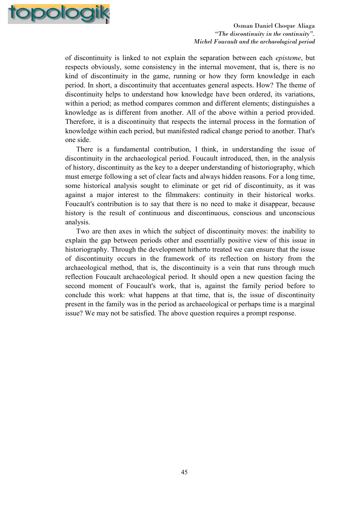

of discontinuity is linked to not explain the separation between each *episteme*, but respects obviously, some consistency in the internal movement, that is, there is no kind of discontinuity in the game, running or how they form knowledge in each period. In short, a discontinuity that accentuates general aspects. How? The theme of discontinuity helps to understand how knowledge have been ordered, its variations, within a period; as method compares common and different elements; distinguishes a knowledge as is different from another. All of the above within a period provided. Therefore, it is a discontinuity that respects the internal process in the formation of knowledge within each period, but manifested radical change period to another. That's one side.

There is a fundamental contribution, I think, in understanding the issue of discontinuity in the archaeological period. Foucault introduced, then, in the analysis of history, discontinuity as the key to a deeper understanding of historiography, which must emerge following a set of clear facts and always hidden reasons. For a long time, some historical analysis sought to eliminate or get rid of discontinuity, as it was against a major interest to the filmmakers: continuity in their historical works. Foucault's contribution is to say that there is no need to make it disappear, because history is the result of continuous and discontinuous, conscious and unconscious analysis.

Two are then axes in which the subject of discontinuity moves: the inability to explain the gap between periods other and essentially positive view of this issue in historiography. Through the development hitherto treated we can ensure that the issue of discontinuity occurs in the framework of its reflection on history from the archaeological method, that is, the discontinuity is a vein that runs through much reflection Foucault archaeological period. It should open a new question facing the second moment of Foucault's work, that is, against the family period before to conclude this work: what happens at that time, that is, the issue of discontinuity present in the family was in the period as archaeological or perhaps time is a marginal issue? We may not be satisfied. The above question requires a prompt response.